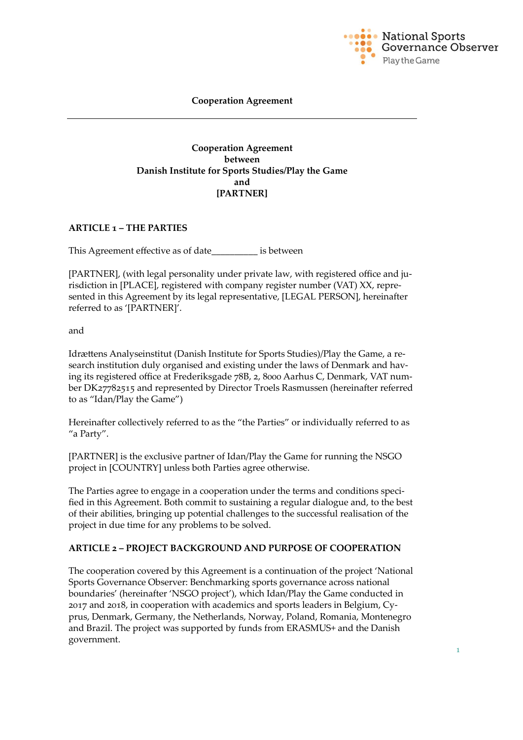

#### **Cooperation Agreement**

#### **Cooperation Agreement between Danish Institute for Sports Studies/Play the Game and [PARTNER]**

#### **ARTICLE 1 – THE PARTIES**

This Agreement effective as of date\_\_\_\_\_\_\_\_\_\_ is between

[PARTNER], (with legal personality under private law, with registered office and jurisdiction in [PLACE], registered with company register number (VAT) XX, represented in this Agreement by its legal representative, [LEGAL PERSON], hereinafter referred to as '[PARTNER]'.

and

Idrættens Analyseinstitut (Danish Institute for Sports Studies)/Play the Game, a research institution duly organised and existing under the laws of Denmark and having its registered office at Frederiksgade 78B, 2, 8000 Aarhus C, Denmark, VAT number DK27782515 and represented by Director Troels Rasmussen (hereinafter referred to as "Idan/Play the Game")

Hereinafter collectively referred to as the "the Parties" or individually referred to as "a Party".

[PARTNER] is the exclusive partner of Idan/Play the Game for running the NSGO project in [COUNTRY] unless both Parties agree otherwise.

The Parties agree to engage in a cooperation under the terms and conditions specified in this Agreement. Both commit to sustaining a regular dialogue and, to the best of their abilities, bringing up potential challenges to the successful realisation of the project in due time for any problems to be solved.

#### **ARTICLE 2 – PROJECT BACKGROUND AND PURPOSE OF COOPERATION**

The cooperation covered by this Agreement is a continuation of the project 'National Sports Governance Observer: Benchmarking sports governance across national boundaries' (hereinafter 'NSGO project'), which Idan/Play the Game conducted in 2017 and 2018, in cooperation with academics and sports leaders in Belgium, Cyprus, Denmark, Germany, the Netherlands, Norway, Poland, Romania, Montenegro and Brazil. The project was supported by funds from ERASMUS+ and the Danish government.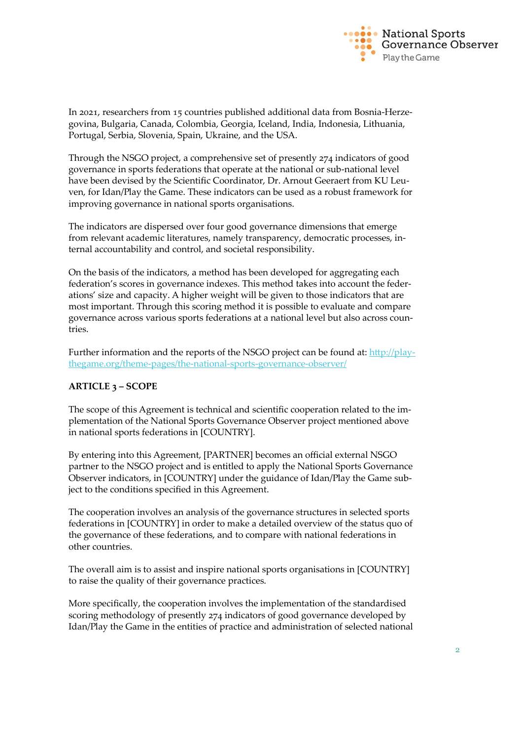

In 2021, researchers from 15 countries published additional data from Bosnia-Herzegovina, Bulgaria, Canada, Colombia, Georgia, Iceland, India, Indonesia, Lithuania, Portugal, Serbia, Slovenia, Spain, Ukraine, and the USA.

Through the NSGO project, a comprehensive set of presently 274 indicators of good governance in sports federations that operate at the national or sub-national level have been devised by the Scientific Coordinator, Dr. Arnout Geeraert from KU Leuven, for Idan/Play the Game. These indicators can be used as a robust framework for improving governance in national sports organisations.

The indicators are dispersed over four good governance dimensions that emerge from relevant academic literatures, namely transparency, democratic processes, internal accountability and control, and societal responsibility.

On the basis of the indicators, a method has been developed for aggregating each federation's scores in governance indexes. This method takes into account the federations' size and capacity. A higher weight will be given to those indicators that are most important. Through this scoring method it is possible to evaluate and compare governance across various sports federations at a national level but also across countries.

Further information and the reports of the NSGO project can be found at: [http://play](http://playthegame.org/theme-pages/the-national-sports-governance-observer/)[thegame.org/theme-pages/the-national-sports-governance-observer/](http://playthegame.org/theme-pages/the-national-sports-governance-observer/)

## **ARTICLE 3 – SCOPE**

The scope of this Agreement is technical and scientific cooperation related to the implementation of the National Sports Governance Observer project mentioned above in national sports federations in [COUNTRY].

By entering into this Agreement, [PARTNER] becomes an official external NSGO partner to the NSGO project and is entitled to apply the National Sports Governance Observer indicators, in [COUNTRY] under the guidance of Idan/Play the Game subject to the conditions specified in this Agreement.

The cooperation involves an analysis of the governance structures in selected sports federations in [COUNTRY] in order to make a detailed overview of the status quo of the governance of these federations, and to compare with national federations in other countries.

The overall aim is to assist and inspire national sports organisations in [COUNTRY] to raise the quality of their governance practices.

More specifically, the cooperation involves the implementation of the standardised scoring methodology of presently 274 indicators of good governance developed by Idan/Play the Game in the entities of practice and administration of selected national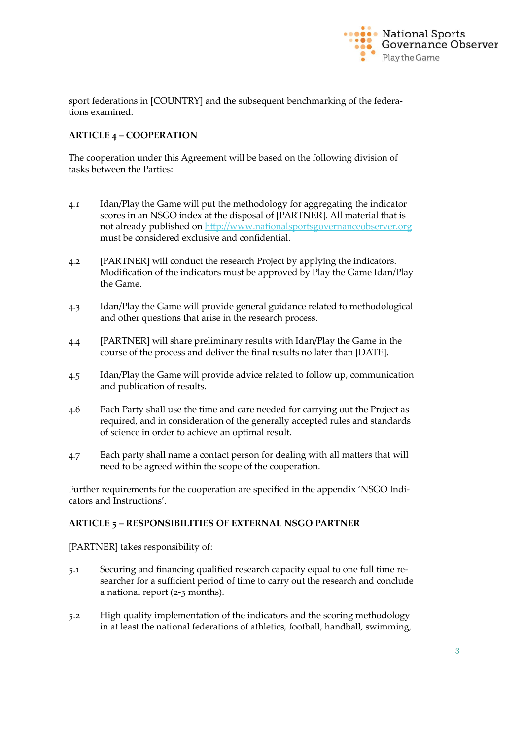

sport federations in [COUNTRY] and the subsequent benchmarking of the federations examined.

# **ARTICLE 4 – COOPERATION**

The cooperation under this Agreement will be based on the following division of tasks between the Parties:

- 4.1 Idan/Play the Game will put the methodology for aggregating the indicator scores in an NSGO index at the disposal of [PARTNER]. All material that is not already published on [http://www.nationalsportsgovernanceobserver.org](http://www.nationalsportsgovernanceobserver.org/) must be considered exclusive and confidential.
- 4.2 [PARTNER] will conduct the research Project by applying the indicators. Modification of the indicators must be approved by Play the Game Idan/Play the Game.
- 4.3 Idan/Play the Game will provide general guidance related to methodological and other questions that arise in the research process.
- 4.4 [PARTNER] will share preliminary results with Idan/Play the Game in the course of the process and deliver the final results no later than [DATE].
- 4.5 Idan/Play the Game will provide advice related to follow up, communication and publication of results.
- 4.6 Each Party shall use the time and care needed for carrying out the Project as required, and in consideration of the generally accepted rules and standards of science in order to achieve an optimal result.
- 4.7 Each party shall name a contact person for dealing with all matters that will need to be agreed within the scope of the cooperation.

Further requirements for the cooperation are specified in the appendix 'NSGO Indicators and Instructions'.

## **ARTICLE 5 – RESPONSIBILITIES OF EXTERNAL NSGO PARTNER**

[PARTNER] takes responsibility of:

- 5.1 Securing and financing qualified research capacity equal to one full time researcher for a sufficient period of time to carry out the research and conclude a national report (2-3 months).
- 5.2 High quality implementation of the indicators and the scoring methodology in at least the national federations of athletics, football, handball, swimming,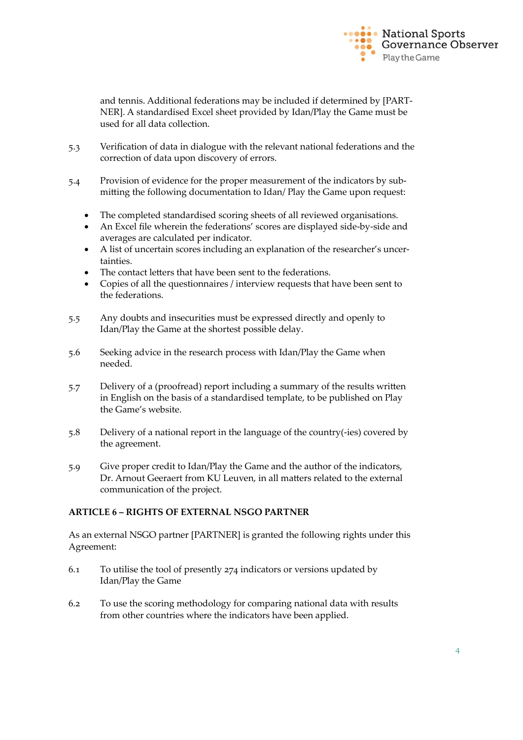

and tennis. Additional federations may be included if determined by [PART-NER]. A standardised Excel sheet provided by Idan/Play the Game must be used for all data collection.

- 5.3 Verification of data in dialogue with the relevant national federations and the correction of data upon discovery of errors.
- 5.4 Provision of evidence for the proper measurement of the indicators by submitting the following documentation to Idan/ Play the Game upon request:
	- The completed standardised scoring sheets of all reviewed organisations.
	- An Excel file wherein the federations' scores are displayed side-by-side and averages are calculated per indicator.
	- A list of uncertain scores including an explanation of the researcher's uncertainties.
	- The contact letters that have been sent to the federations.
	- Copies of all the questionnaires / interview requests that have been sent to the federations.
- 5.5 Any doubts and insecurities must be expressed directly and openly to Idan/Play the Game at the shortest possible delay.
- 5.6 Seeking advice in the research process with Idan/Play the Game when needed.
- 5.7 Delivery of a (proofread) report including a summary of the results written in English on the basis of a standardised template, to be published on Play the Game's website.
- 5.8 Delivery of a national report in the language of the country(-ies) covered by the agreement.
- 5.9 Give proper credit to Idan/Play the Game and the author of the indicators, Dr. Arnout Geeraert from KU Leuven, in all matters related to the external communication of the project.

#### **ARTICLE 6 – RIGHTS OF EXTERNAL NSGO PARTNER**

As an external NSGO partner [PARTNER] is granted the following rights under this Agreement:

- 6.1 To utilise the tool of presently 274 indicators or versions updated by Idan/Play the Game
- 6.2 To use the scoring methodology for comparing national data with results from other countries where the indicators have been applied.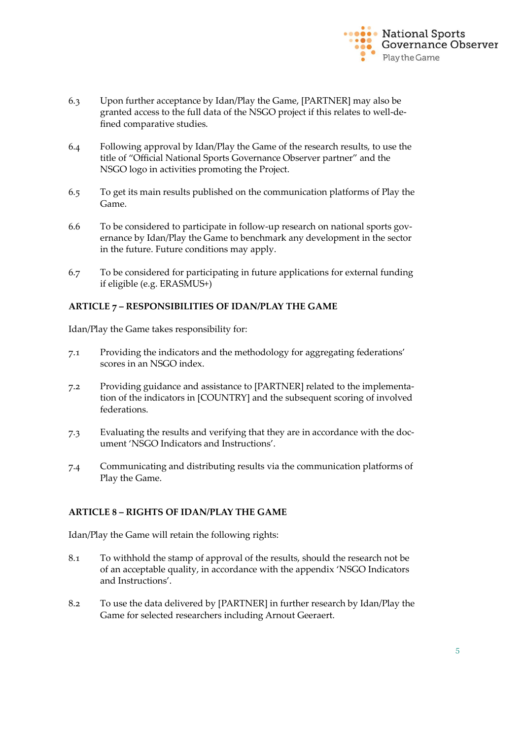

- 6.3 Upon further acceptance by Idan/Play the Game, [PARTNER] may also be granted access to the full data of the NSGO project if this relates to well-defined comparative studies.
- 6.4 Following approval by Idan/Play the Game of the research results, to use the title of "Official National Sports Governance Observer partner" and the NSGO logo in activities promoting the Project.
- 6.5 To get its main results published on the communication platforms of Play the Game.
- 6.6 To be considered to participate in follow-up research on national sports governance by Idan/Play the Game to benchmark any development in the sector in the future. Future conditions may apply.
- 6.7 To be considered for participating in future applications for external funding if eligible (e.g. ERASMUS+)

## **ARTICLE 7 – RESPONSIBILITIES OF IDAN/PLAY THE GAME**

Idan/Play the Game takes responsibility for:

- 7.1 Providing the indicators and the methodology for aggregating federations' scores in an NSGO index.
- 7.2 Providing guidance and assistance to [PARTNER] related to the implementation of the indicators in [COUNTRY] and the subsequent scoring of involved federations.
- 7.3 Evaluating the results and verifying that they are in accordance with the document 'NSGO Indicators and Instructions'.
- 7.4 Communicating and distributing results via the communication platforms of Play the Game.

## **ARTICLE 8 – RIGHTS OF IDAN/PLAY THE GAME**

Idan/Play the Game will retain the following rights:

- 8.1 To withhold the stamp of approval of the results, should the research not be of an acceptable quality, in accordance with the appendix 'NSGO Indicators and Instructions'.
- 8.2 To use the data delivered by [PARTNER] in further research by Idan/Play the Game for selected researchers including Arnout Geeraert.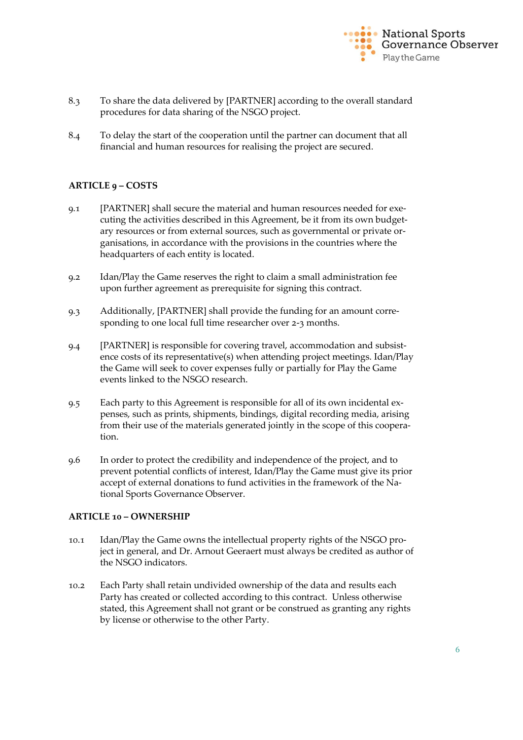

- 8.3 To share the data delivered by [PARTNER] according to the overall standard procedures for data sharing of the NSGO project.
- 8.4 To delay the start of the cooperation until the partner can document that all financial and human resources for realising the project are secured.

## **ARTICLE 9 – COSTS**

- 9.1 [PARTNER] shall secure the material and human resources needed for executing the activities described in this Agreement, be it from its own budgetary resources or from external sources, such as governmental or private organisations, in accordance with the provisions in the countries where the headquarters of each entity is located.
- 9.2 Idan/Play the Game reserves the right to claim a small administration fee upon further agreement as prerequisite for signing this contract.
- 9.3 Additionally, [PARTNER] shall provide the funding for an amount corresponding to one local full time researcher over 2-3 months.
- 9.4 [PARTNER] is responsible for covering travel, accommodation and subsistence costs of its representative(s) when attending project meetings. Idan/Play the Game will seek to cover expenses fully or partially for Play the Game events linked to the NSGO research.
- 9.5 Each party to this Agreement is responsible for all of its own incidental expenses, such as prints, shipments, bindings, digital recording media, arising from their use of the materials generated jointly in the scope of this cooperation.
- 9.6 In order to protect the credibility and independence of the project, and to prevent potential conflicts of interest, Idan/Play the Game must give its prior accept of external donations to fund activities in the framework of the National Sports Governance Observer.

#### **ARTICLE 10 – OWNERSHIP**

- 10.1 Idan/Play the Game owns the intellectual property rights of the NSGO project in general, and Dr. Arnout Geeraert must always be credited as author of the NSGO indicators.
- 10.2 Each Party shall retain undivided ownership of the data and results each Party has created or collected according to this contract. Unless otherwise stated, this Agreement shall not grant or be construed as granting any rights by license or otherwise to the other Party.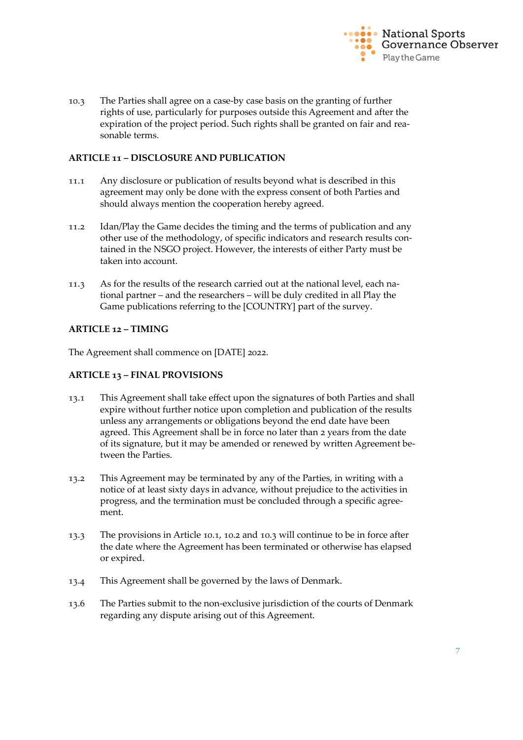

10.3 The Parties shall agree on a case-by case basis on the granting of further rights of use, particularly for purposes outside this Agreement and after the expiration of the project period. Such rights shall be granted on fair and reasonable terms.

#### **ARTICLE 11 – DISCLOSURE AND PUBLICATION**

- 11.1 Any disclosure or publication of results beyond what is described in this agreement may only be done with the express consent of both Parties and should always mention the cooperation hereby agreed.
- 11.2 Idan/Play the Game decides the timing and the terms of publication and any other use of the methodology, of specific indicators and research results contained in the NSGO project. However, the interests of either Party must be taken into account.
- 11.3 As for the results of the research carried out at the national level, each national partner – and the researchers – will be duly credited in all Play the Game publications referring to the [COUNTRY] part of the survey.

## **ARTICLE 12 – TIMING**

The Agreement shall commence on [DATE] 2022.

### **ARTICLE 13 – FINAL PROVISIONS**

- 13.1 This Agreement shall take effect upon the signatures of both Parties and shall expire without further notice upon completion and publication of the results unless any arrangements or obligations beyond the end date have been agreed. This Agreement shall be in force no later than 2 years from the date of its signature, but it may be amended or renewed by written Agreement between the Parties.
- 13.2 This Agreement may be terminated by any of the Parties, in writing with a notice of at least sixty days in advance, without prejudice to the activities in progress, and the termination must be concluded through a specific agreement.
- 13.3 The provisions in Article 10.1, 10.2 and 10.3 will continue to be in force after the date where the Agreement has been terminated or otherwise has elapsed or expired.
- 13.4 This Agreement shall be governed by the laws of Denmark.
- 13.6 The Parties submit to the non-exclusive jurisdiction of the courts of Denmark regarding any dispute arising out of this Agreement.